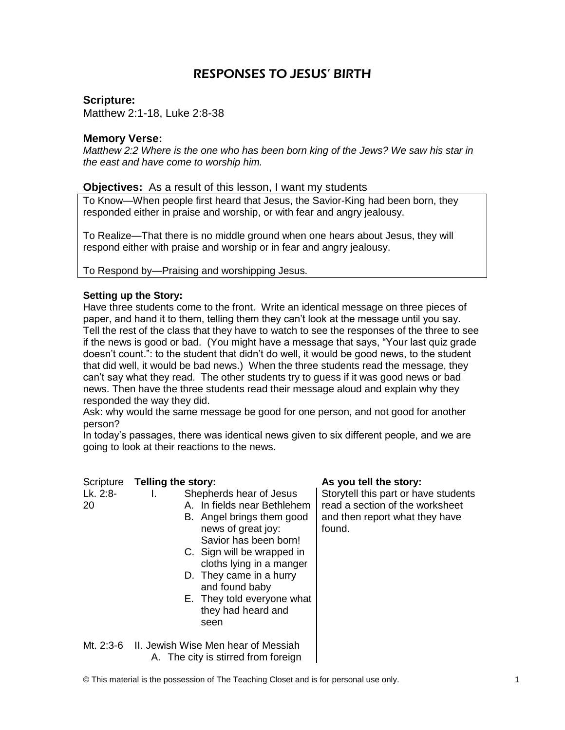# RESPONSES TO JESUS' BIRTH

**Scripture:** 

Matthew 2:1-18, Luke 2:8-38

# **Memory Verse:**

*Matthew 2:2 Where is the one who has been born king of the Jews? We saw his star in the east and have come to worship him.*

# **Objectives:** As a result of this lesson, I want my students

To Know—When people first heard that Jesus, the Savior-King had been born, they responded either in praise and worship, or with fear and angry jealousy.

To Realize—That there is no middle ground when one hears about Jesus, they will respond either with praise and worship or in fear and angry jealousy.

To Respond by—Praising and worshipping Jesus.

#### **Setting up the Story:**

Have three students come to the front. Write an identical message on three pieces of paper, and hand it to them, telling them they can't look at the message until you say. Tell the rest of the class that they have to watch to see the responses of the three to see if the news is good or bad. (You might have a message that says, "Your last quiz grade doesn't count.": to the student that didn't do well, it would be good news, to the student that did well, it would be bad news.) When the three students read the message, they can't say what they read. The other students try to guess if it was good news or bad news. Then have the three students read their message aloud and explain why they responded the way they did.

Ask: why would the same message be good for one person, and not good for another person?

In today's passages, there was identical news given to six different people, and we are going to look at their reactions to the news.

| Scripture      | Telling the story: |                                                                                                                                                                                                                                                                                                       | As you tell the story:                                                                                              |  |
|----------------|--------------------|-------------------------------------------------------------------------------------------------------------------------------------------------------------------------------------------------------------------------------------------------------------------------------------------------------|---------------------------------------------------------------------------------------------------------------------|--|
| Lk. 2:8-<br>20 | L.                 | Shepherds hear of Jesus<br>A. In fields near Bethlehem<br>B. Angel brings them good<br>news of great joy:<br>Savior has been born!<br>C. Sign will be wrapped in<br>cloths lying in a manger<br>D. They came in a hurry<br>and found baby<br>E. They told everyone what<br>they had heard and<br>seen | Storytell this part or have students<br>read a section of the worksheet<br>and then report what they have<br>found. |  |
| Mt 2.3.6       | Ш.                 | Jawish Wisa Man haar of Massiah                                                                                                                                                                                                                                                                       |                                                                                                                     |  |

Mt. 2:3-6 II. Jewish Wise Men hear of Messiah A. The city is stirred from foreign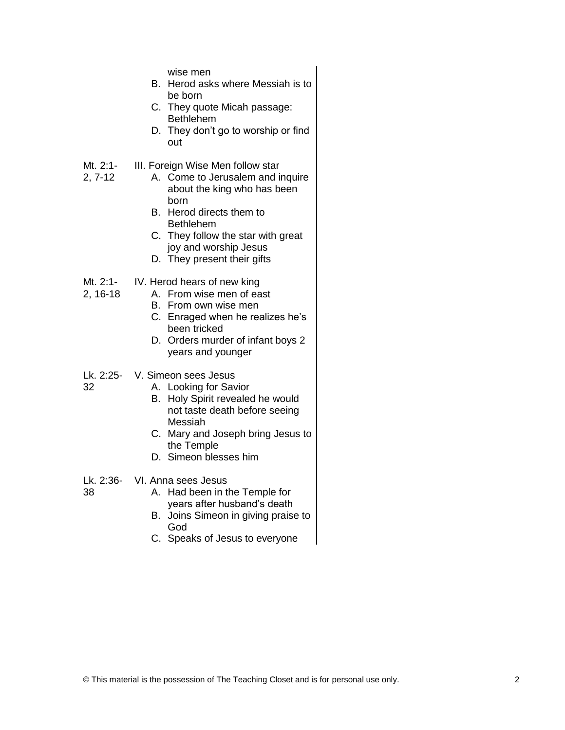wise men

- B. Herod asks where Messiah is to be born
- C. They quote Micah passage: Bethlehem
- D. They don't go to worship or find out
- Mt. 2:1- III. Foreign Wise Men follow star

2, 7-12

32

38

- A. Come to Jerusalem and inquire about the king who has been born
	- B. Herod directs them to Bethlehem
	- C. They follow the star with great joy and worship Jesus
	- D. They present their gifts
- Mt. 2:1- IV. Herod hears of new king
- 2, 16-18 A. From wise men of east
	- B. From own wise men
	- C. Enraged when he realizes he's been tricked
	- D. Orders murder of infant boys 2 years and younger
- Lk. 2:25- V. Simeon sees Jesus
	- A. Looking for Savior
		- B. Holy Spirit revealed he would not taste death before seeing Messiah
		- C. Mary and Joseph bring Jesus to the Temple
		- D. Simeon blesses him

Lk. 2:36- VI. Anna sees Jesus

- A. Had been in the Temple for years after husband's death
- B. Joins Simeon in giving praise to God
- C. Speaks of Jesus to everyone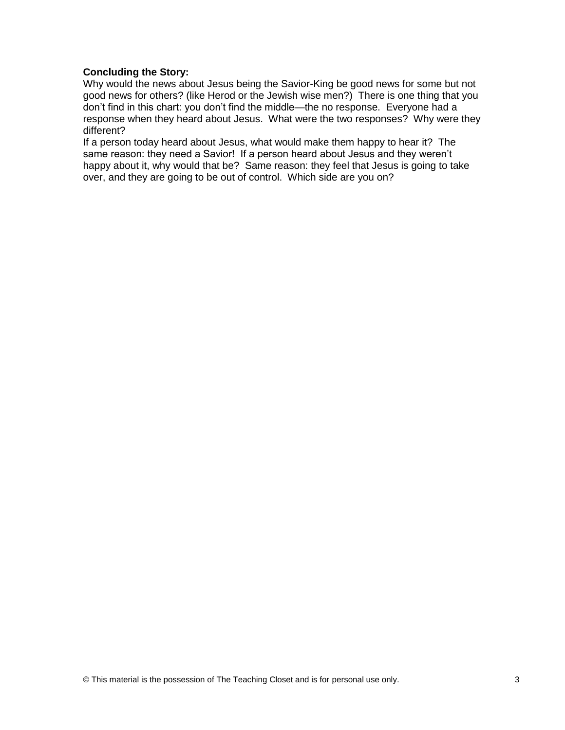# **Concluding the Story:**

Why would the news about Jesus being the Savior-King be good news for some but not good news for others? (like Herod or the Jewish wise men?) There is one thing that you don't find in this chart: you don't find the middle—the no response. Everyone had a response when they heard about Jesus. What were the two responses? Why were they different?

If a person today heard about Jesus, what would make them happy to hear it? The same reason: they need a Savior! If a person heard about Jesus and they weren't happy about it, why would that be? Same reason: they feel that Jesus is going to take over, and they are going to be out of control. Which side are you on?